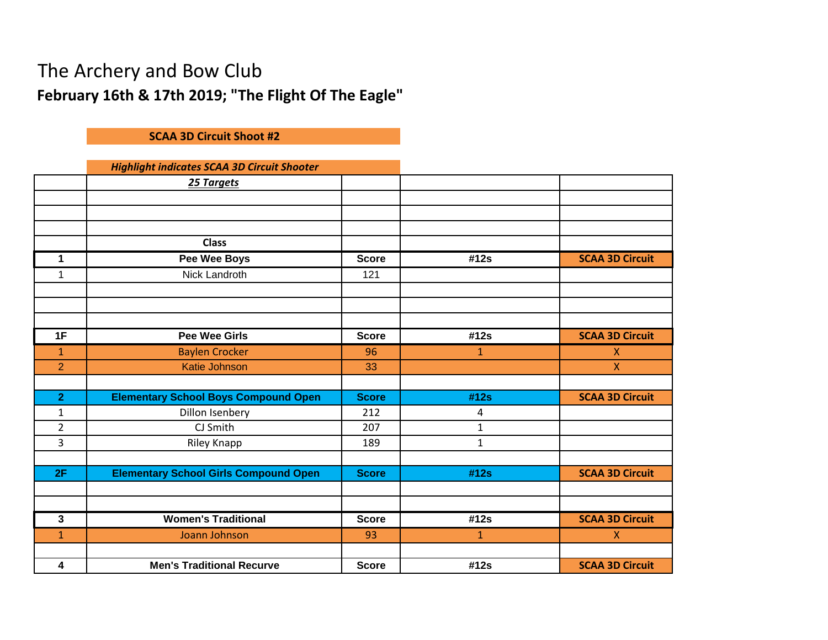## The Archery and Bow Club **February 16th & 17th 2019; "The Flight Of The Eagle"**

## **SCAA 3D Circuit Shoot #2**

## *Highlight indicates SCAA 3D Circuit Shooter*

|                | 25 Targets                                   |              |              |                        |
|----------------|----------------------------------------------|--------------|--------------|------------------------|
|                |                                              |              |              |                        |
|                |                                              |              |              |                        |
|                |                                              |              |              |                        |
|                | <b>Class</b>                                 |              |              |                        |
| 1              | <b>Pee Wee Boys</b>                          | <b>Score</b> | #12s         | <b>SCAA 3D Circuit</b> |
| 1              | Nick Landroth                                | 121          |              |                        |
|                |                                              |              |              |                        |
|                |                                              |              |              |                        |
|                |                                              |              |              |                        |
| 1F             | <b>Pee Wee Girls</b>                         | <b>Score</b> | #12s         | <b>SCAA 3D Circuit</b> |
| $\mathbf{1}$   | <b>Baylen Crocker</b>                        | 96           | $\mathbf{1}$ | X                      |
| $\overline{2}$ | <b>Katie Johnson</b>                         | 33           |              | $\mathsf{X}$           |
|                |                                              |              |              |                        |
| $\overline{2}$ | <b>Elementary School Boys Compound Open</b>  | <b>Score</b> | #12s         | <b>SCAA 3D Circuit</b> |
| $\mathbf{1}$   | Dillon Isenbery                              | 212          | 4            |                        |
| $\overline{2}$ | CJ Smith                                     | 207          | $\mathbf{1}$ |                        |
| $\overline{3}$ | Riley Knapp                                  | 189          | $\mathbf{1}$ |                        |
|                |                                              |              |              |                        |
| 2F             | <b>Elementary School Girls Compound Open</b> | <b>Score</b> | #12s         | <b>SCAA 3D Circuit</b> |
|                |                                              |              |              |                        |
|                |                                              |              |              |                        |
| $\mathbf{3}$   | <b>Women's Traditional</b>                   | <b>Score</b> | #12s         | <b>SCAA 3D Circuit</b> |
| $\mathbf{1}$   | Joann Johnson                                | 93           | $\mathbf{1}$ | $\mathsf{X}$           |
|                |                                              |              |              |                        |
| 4              | <b>Men's Traditional Recurve</b>             | <b>Score</b> | #12s         | <b>SCAA 3D Circuit</b> |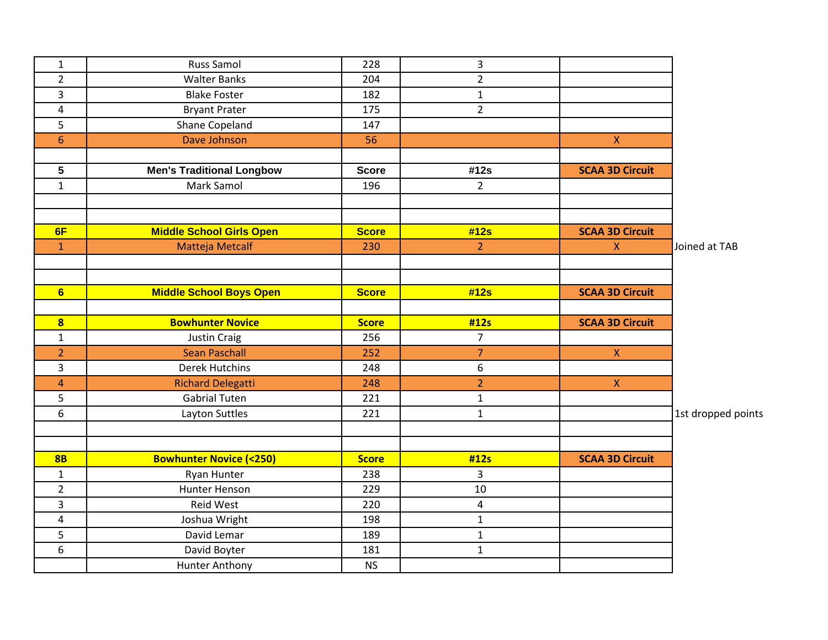| $\mathbf{1}$            | Russ Samol                        | 228          | 3              |                        |                    |
|-------------------------|-----------------------------------|--------------|----------------|------------------------|--------------------|
| $\overline{2}$          | <b>Walter Banks</b>               | 204          | $\overline{2}$ |                        |                    |
| 3                       | <b>Blake Foster</b>               | 182          | $\mathbf{1}$   |                        |                    |
| 4                       | <b>Bryant Prater</b>              | 175          | $\overline{2}$ |                        |                    |
| 5                       | Shane Copeland                    | 147          |                |                        |                    |
| $6\phantom{a}$          | Dave Johnson                      | 56           |                | $\mathsf X$            |                    |
|                         |                                   |              |                |                        |                    |
| 5                       | <b>Men's Traditional Longbow</b>  | <b>Score</b> | #12s           | <b>SCAA 3D Circuit</b> |                    |
| $\mathbf{1}$            | Mark Samol                        | 196          | $2^{\circ}$    |                        |                    |
|                         |                                   |              |                |                        |                    |
|                         |                                   |              |                |                        |                    |
| 6F                      | <b>Middle School Girls Open</b>   | <b>Score</b> | #12s           | <b>SCAA 3D Circuit</b> |                    |
| $\mathbf{1}$            | Matteja Metcalf                   | 230          | $\overline{2}$ | $\mathsf X$            | Joined at TAB      |
|                         |                                   |              |                |                        |                    |
|                         |                                   |              |                |                        |                    |
| 6                       | <b>Middle School Boys Open</b>    | <b>Score</b> | #12s           | <b>SCAA 3D Circuit</b> |                    |
|                         |                                   |              |                |                        |                    |
| $\overline{\mathbf{8}}$ | <b>Bowhunter Novice</b>           | <b>Score</b> | #12s           | <b>SCAA 3D Circuit</b> |                    |
| $\mathbf{1}$            | <b>Justin Craig</b>               | 256          | $\overline{7}$ |                        |                    |
| $\overline{2}$          | <b>Sean Paschall</b>              | 252          | $\overline{7}$ | $\mathsf X$            |                    |
| $\overline{3}$          | <b>Derek Hutchins</b>             | 248          | 6              |                        |                    |
| 4                       | <b>Richard Delegatti</b>          | 248          | $\overline{2}$ | $\mathsf X$            |                    |
| 5                       | <b>Gabrial Tuten</b>              | 221          | $\mathbf{1}$   |                        |                    |
| 6                       | Layton Suttles                    | 221          | $\mathbf{1}$   |                        | 1st dropped points |
|                         |                                   |              |                |                        |                    |
|                         |                                   |              |                |                        |                    |
| 8B                      | <b>Bowhunter Novice (&lt;250)</b> | <b>Score</b> | #12s           | <b>SCAA 3D Circuit</b> |                    |
| $\mathbf{1}$            | Ryan Hunter                       | 238          | 3              |                        |                    |
| $\overline{2}$          | Hunter Henson                     | 229          | 10             |                        |                    |
| 3                       | Reid West                         | 220          | 4              |                        |                    |
| 4                       | Joshua Wright                     | 198          | $\mathbf{1}$   |                        |                    |
| 5                       | David Lemar                       | 189          | $\mathbf{1}$   |                        |                    |
| 6                       | David Boyter                      | 181          | $\mathbf{1}$   |                        |                    |
|                         | <b>Hunter Anthony</b>             | <b>NS</b>    |                |                        |                    |
|                         |                                   |              |                |                        |                    |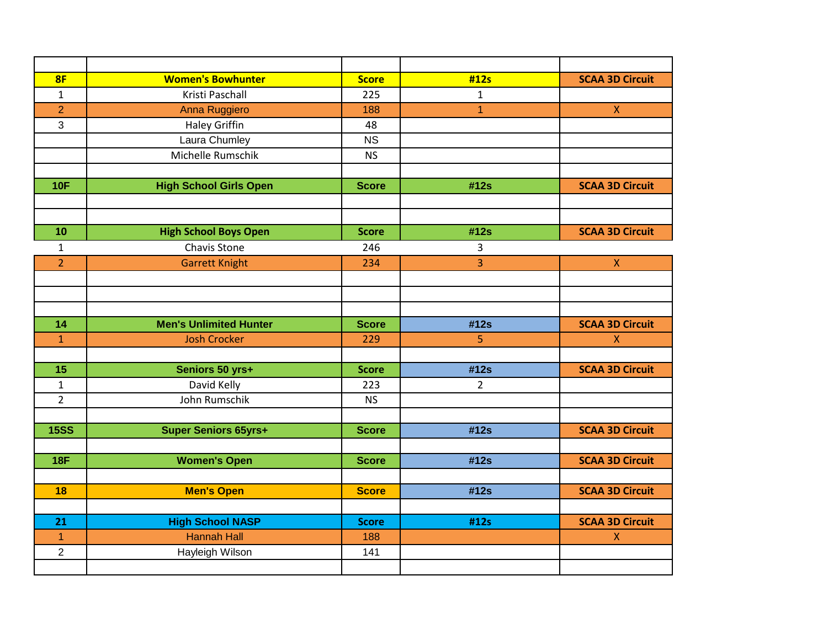| 8F             | <b>Women's Bowhunter</b>      | <b>Score</b> | #12s         | <b>SCAA 3D Circuit</b> |
|----------------|-------------------------------|--------------|--------------|------------------------|
| $\mathbf{1}$   | Kristi Paschall               | 225          | $\mathbf{1}$ |                        |
| $\overline{2}$ | Anna Ruggiero                 | 188          | $\mathbf{1}$ | $\mathsf X$            |
| 3              | <b>Haley Griffin</b>          | 48           |              |                        |
|                | Laura Chumley                 | <b>NS</b>    |              |                        |
|                | Michelle Rumschik             | <b>NS</b>    |              |                        |
|                |                               |              |              |                        |
| <b>10F</b>     | <b>High School Girls Open</b> | <b>Score</b> | #12s         | <b>SCAA 3D Circuit</b> |
|                |                               |              |              |                        |
|                |                               |              |              |                        |
| 10             | <b>High School Boys Open</b>  | <b>Score</b> | #12s         | <b>SCAA 3D Circuit</b> |
| $\mathbf{1}$   | Chavis Stone                  | 246          | 3            |                        |
| $\overline{2}$ | <b>Garrett Knight</b>         | 234          | 3            | $\pmb{\chi}$           |
|                |                               |              |              |                        |
|                |                               |              |              |                        |
|                |                               |              |              |                        |
| 14             | <b>Men's Unlimited Hunter</b> | <b>Score</b> | #12s         | <b>SCAA 3D Circuit</b> |
| $\overline{1}$ | <b>Josh Crocker</b>           | 229          | 5            | $\mathsf{X}$           |
|                |                               |              |              |                        |
| 15             | Seniors 50 yrs+               | <b>Score</b> | #12s         | <b>SCAA 3D Circuit</b> |
| $\mathbf{1}$   | David Kelly                   | 223          | $2^{\circ}$  |                        |
| $\overline{2}$ | John Rumschik                 | <b>NS</b>    |              |                        |
|                |                               |              |              |                        |
| <b>15SS</b>    | <b>Super Seniors 65yrs+</b>   | <b>Score</b> | #12s         | <b>SCAA 3D Circuit</b> |
|                |                               |              |              |                        |
| <b>18F</b>     | <b>Women's Open</b>           | <b>Score</b> | #12s         | <b>SCAA 3D Circuit</b> |
|                |                               |              |              |                        |
| 18             | <b>Men's Open</b>             | <b>Score</b> | #12s         | <b>SCAA 3D Circuit</b> |
|                |                               |              |              |                        |
| 21             | <b>High School NASP</b>       | <b>Score</b> | #12s         | <b>SCAA 3D Circuit</b> |
| $\overline{1}$ | <b>Hannah Hall</b>            | 188          |              | $\pmb{\mathsf{X}}$     |
| $\overline{2}$ | Hayleigh Wilson               | 141          |              |                        |
|                |                               |              |              |                        |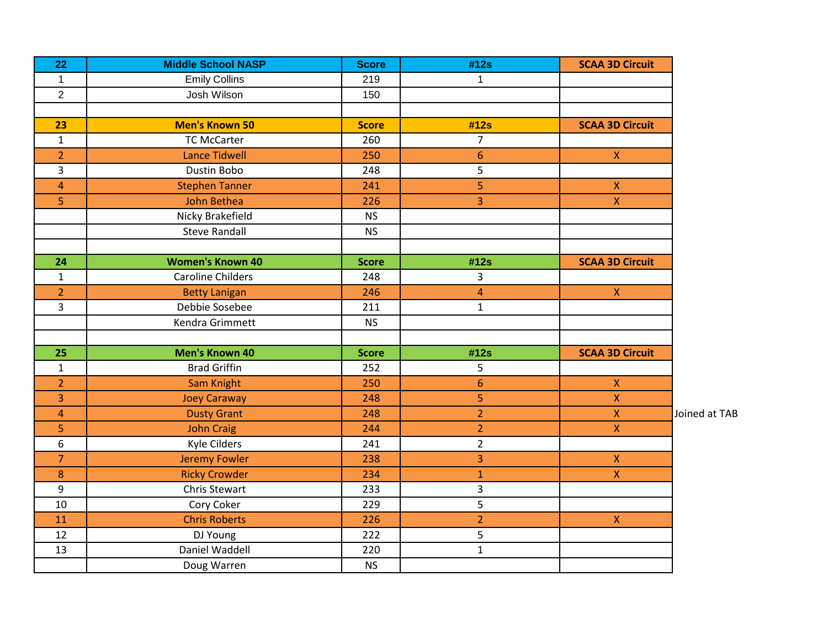| 22             | <b>Middle School NASP</b> | <b>Score</b> | #12s                    | <b>SCAA 3D Circuit</b>  |               |
|----------------|---------------------------|--------------|-------------------------|-------------------------|---------------|
| $\mathbf{1}$   | <b>Emily Collins</b>      | 219          | $\mathbf{1}$            |                         |               |
| $\overline{2}$ | Josh Wilson               | 150          |                         |                         |               |
|                |                           |              |                         |                         |               |
| 23             | <b>Men's Known 50</b>     | <b>Score</b> | #12s                    | <b>SCAA 3D Circuit</b>  |               |
| $\mathbf{1}$   | <b>TC McCarter</b>        | 260          | $\overline{7}$          |                         |               |
| $\overline{2}$ | <b>Lance Tidwell</b>      | 250          | $6\phantom{1}6$         | $\mathsf X$             |               |
| $\overline{3}$ | Dustin Bobo               | 248          | 5                       |                         |               |
| $\overline{4}$ | <b>Stephen Tanner</b>     | 241          | 5                       | $\mathsf X$             |               |
| $\overline{5}$ | John Bethea               | 226          | 3                       | $\overline{X}$          |               |
|                | Nicky Brakefield          | <b>NS</b>    |                         |                         |               |
|                | <b>Steve Randall</b>      | <b>NS</b>    |                         |                         |               |
|                |                           |              |                         |                         |               |
| 24             | <b>Women's Known 40</b>   | <b>Score</b> | #12s                    | <b>SCAA 3D Circuit</b>  |               |
| $\mathbf{1}$   | <b>Caroline Childers</b>  | 248          | 3                       |                         |               |
| $\overline{2}$ | <b>Betty Lanigan</b>      | 246          | $\overline{\mathbf{4}}$ | $\mathsf X$             |               |
| $\overline{3}$ | Debbie Sosebee            | 211          | $\mathbf{1}$            |                         |               |
|                | Kendra Grimmett           | <b>NS</b>    |                         |                         |               |
|                |                           |              |                         |                         |               |
| 25             | <b>Men's Known 40</b>     | <b>Score</b> | #12s                    | <b>SCAA 3D Circuit</b>  |               |
| $\mathbf{1}$   | <b>Brad Griffin</b>       | 252          | 5                       |                         |               |
| $\overline{2}$ | Sam Knight                | 250          | $6\phantom{1}6$         | $\pmb{\chi}$            |               |
| 3              | <b>Joey Caraway</b>       | 248          | 5                       | $\mathsf X$             |               |
| $\overline{4}$ | <b>Dusty Grant</b>        | 248          | $\overline{2}$          | $\mathsf X$             | Joined at TAB |
| $\overline{5}$ | <b>John Craig</b>         | 244          | $\overline{2}$          | $\overline{\mathsf{X}}$ |               |
| 6              | Kyle Cilders              | 241          | $\overline{2}$          |                         |               |
| $\overline{7}$ | <b>Jeremy Fowler</b>      | 238          | 3                       | $\mathsf X$             |               |
| $\bf 8$        | <b>Ricky Crowder</b>      | 234          | $\mathbf{1}$            | $\mathsf X$             |               |
| 9              | Chris Stewart             | 233          | 3                       |                         |               |
| $10\,$         | Cory Coker                | 229          | 5                       |                         |               |
| 11             | <b>Chris Roberts</b>      | 226          | $\overline{2}$          | $\bar{\mathsf{X}}$      |               |
| 12             | DJ Young                  | 222          | 5                       |                         |               |
| 13             | Daniel Waddell            | 220          | $\mathbf{1}$            |                         |               |
|                | Doug Warren               | <b>NS</b>    |                         |                         |               |